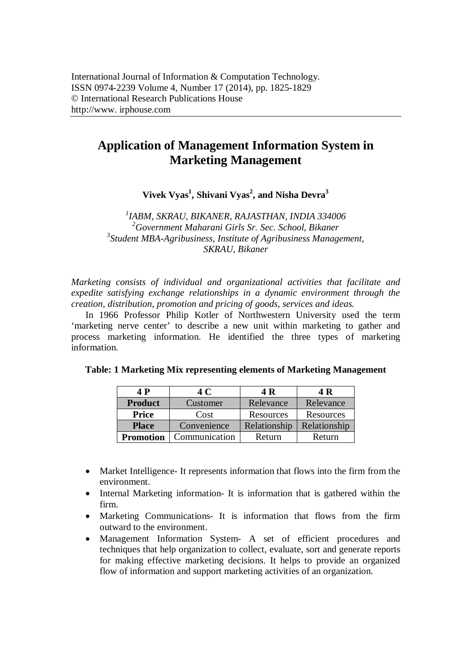# **Application of Management Information System in Marketing Management**

**Vivek Vyas<sup>1</sup> , Shivani Vyas<sup>2</sup> , and Nisha Devra<sup>3</sup>**

 *IABM, SKRAU, BIKANER, RAJASTHAN, INDIA 334006 Government Maharani Girls Sr. Sec. School, Bikaner Student MBA-Agribusiness, Institute of Agribusiness Management, SKRAU, Bikaner*

*Marketing consists of individual and organizational activities that facilitate and expedite satisfying exchange relationships in a dynamic environment through the creation, distribution, promotion and pricing of goods, services and ideas.*

In 1966 Professor Philip Kotler of Northwestern University used the term 'marketing nerve center' to describe a new unit within marketing to gather and process marketing information. He identified the three types of marketing information.

| 4 P              | 4 C           | 4 R          | 4 R           |
|------------------|---------------|--------------|---------------|
| <b>Product</b>   | Customer      | Relevance    | Relevance     |
| <b>Price</b>     | Cost          | Resources    | Resources     |
| <b>Place</b>     | Convenience   | Relationship | Relationship  |
| <b>Promotion</b> | Communication | Return       | <b>Return</b> |

| Table: 1 Marketing Mix representing elements of Marketing Management |
|----------------------------------------------------------------------|
|----------------------------------------------------------------------|

- Market Intelligence- It represents information that flows into the firm from the environment.
- Internal Marketing information- It is information that is gathered within the firm.
- Marketing Communications- It is information that flows from the firm outward to the environment.
- Management Information System- A set of efficient procedures and techniques that help organization to collect, evaluate, sort and generate reports for making effective marketing decisions. It helps to provide an organized flow of information and support marketing activities of an organization.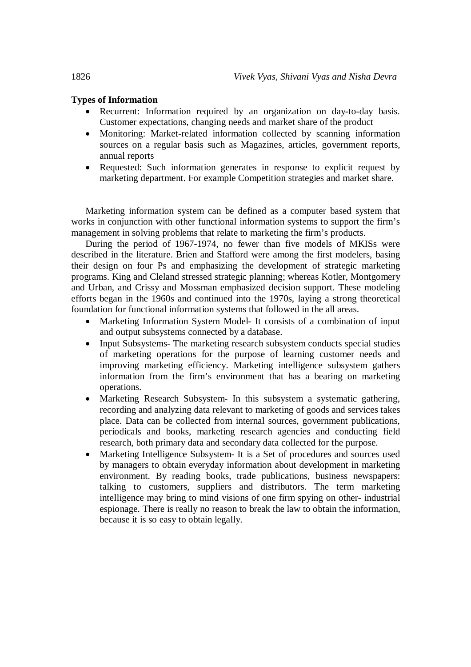### **Types of Information**

- Recurrent: Information required by an organization on day-to-day basis. Customer expectations, changing needs and market share of the product
- Monitoring: Market-related information collected by scanning information sources on a regular basis such as Magazines, articles, government reports, annual reports
- Requested: Such information generates in response to explicit request by marketing department. For example Competition strategies and market share.

Marketing information system can be defined as a computer based system that works in conjunction with other functional information systems to support the firm's management in solving problems that relate to marketing the firm's products.

During the period of 1967-1974, no fewer than five models of MKISs were described in the literature. Brien and Stafford were among the first modelers, basing their design on four Ps and emphasizing the development of strategic marketing programs. King and Cleland stressed strategic planning; whereas Kotler, Montgomery and Urban, and Crissy and Mossman emphasized decision support. These modeling efforts began in the 1960s and continued into the 1970s, laying a strong theoretical foundation for functional information systems that followed in the all areas.

- Marketing Information System Model- It consists of a combination of input and output subsystems connected by a database.
- Input Subsystems- The marketing research subsystem conducts special studies of marketing operations for the purpose of learning customer needs and improving marketing efficiency. Marketing intelligence subsystem gathers information from the firm's environment that has a bearing on marketing operations.
- Marketing Research Subsystem- In this subsystem a systematic gathering, recording and analyzing data relevant to marketing of goods and services takes place. Data can be collected from internal sources, government publications, periodicals and books, marketing research agencies and conducting field research, both primary data and secondary data collected for the purpose.
- Marketing Intelligence Subsystem- It is a Set of procedures and sources used by managers to obtain everyday information about development in marketing environment. By reading books, trade publications, business newspapers: talking to customers, suppliers and distributors. The term marketing intelligence may bring to mind visions of one firm spying on other- industrial espionage. There is really no reason to break the law to obtain the information, because it is so easy to obtain legally.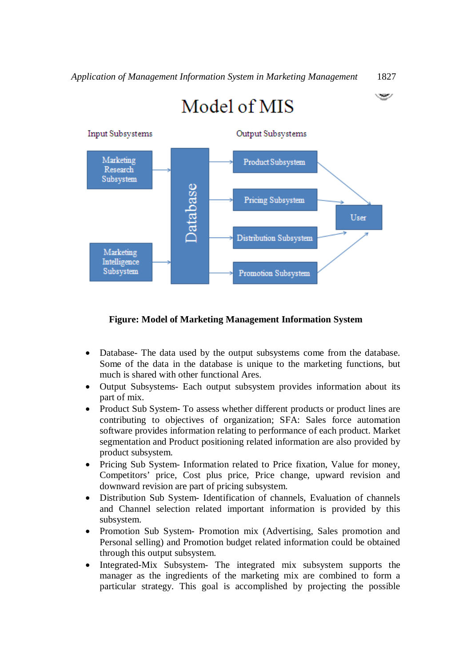See J



# **Figure: Model of Marketing Management Information System**

- Database- The data used by the output subsystems come from the database. Some of the data in the database is unique to the marketing functions, but much is shared with other functional Ares.
- Output Subsystems- Each output subsystem provides information about its part of mix.
- Product Sub System- To assess whether different products or product lines are contributing to objectives of organization; SFA: Sales force automation software provides information relating to performance of each product. Market segmentation and Product positioning related information are also provided by product subsystem.
- Pricing Sub System- Information related to Price fixation, Value for money, Competitors' price, Cost plus price, Price change, upward revision and downward revision are part of pricing subsystem.
- Distribution Sub System- Identification of channels, Evaluation of channels and Channel selection related important information is provided by this subsystem.
- Promotion Sub System- Promotion mix (Advertising, Sales promotion and Personal selling) and Promotion budget related information could be obtained through this output subsystem.
- Integrated-Mix Subsystem- The integrated mix subsystem supports the manager as the ingredients of the marketing mix are combined to form a particular strategy. This goal is accomplished by projecting the possible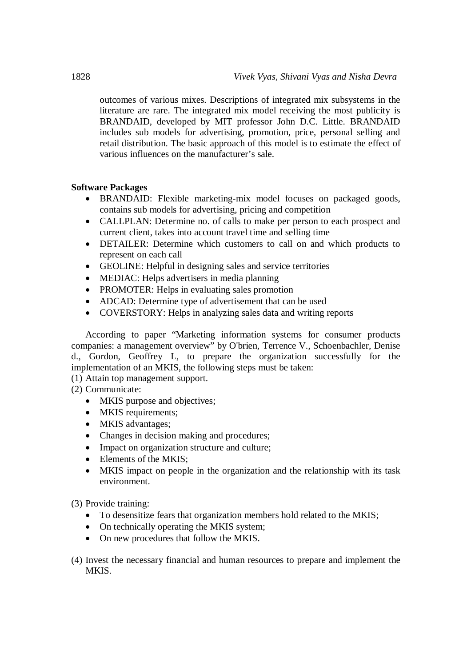outcomes of various mixes. Descriptions of integrated mix subsystems in the literature are rare. The integrated mix model receiving the most publicity is BRANDAID, developed by MIT professor John D.C. Little. BRANDAID includes sub models for advertising, promotion, price, personal selling and retail distribution. The basic approach of this model is to estimate the effect of various influences on the manufacturer's sale.

# **Software Packages**

- BRANDAID: Flexible marketing-mix model focuses on packaged goods, contains sub models for advertising, pricing and competition
- CALLPLAN: Determine no. of calls to make per person to each prospect and current client, takes into account travel time and selling time
- DETAILER: Determine which customers to call on and which products to represent on each call
- GEOLINE: Helpful in designing sales and service territories
- MEDIAC: Helps advertisers in media planning
- PROMOTER: Helps in evaluating sales promotion
- ADCAD: Determine type of advertisement that can be used
- COVERSTORY: Helps in analyzing sales data and writing reports

According to paper "Marketing information systems for consumer products companies: a management overview" by O'brien, Terrence V., Schoenbachler, Denise d., Gordon, Geoffrey L, to prepare the organization successfully for the implementation of an MKIS, the following steps must be taken:

- (1) Attain top management support.
- (2) Communicate:
	- MKIS purpose and objectives;
	- MKIS requirements;
	- MKIS advantages:
	- Changes in decision making and procedures;
	- Impact on organization structure and culture;
	- Elements of the MKIS;
	- MKIS impact on people in the organization and the relationship with its task environment.

(3) Provide training:

- To desensitize fears that organization members hold related to the MKIS;
- On technically operating the MKIS system;
- On new procedures that follow the MKIS.
- (4) Invest the necessary financial and human resources to prepare and implement the MKIS.